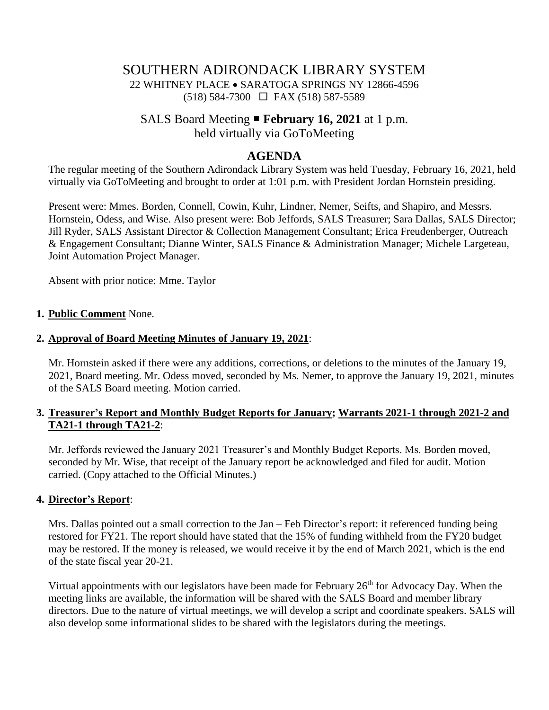# SOUTHERN ADIRONDACK LIBRARY SYSTEM

22 WHITNEY PLACE • SARATOGA SPRINGS NY 12866-4596 (518) 584-7300 FAX (518) 587-5589

# SALS Board Meeting **February 16, 2021** at 1 p.m.

held virtually via GoToMeeting

# **AGENDA**

The regular meeting of the Southern Adirondack Library System was held Tuesday, February 16, 2021, held virtually via GoToMeeting and brought to order at 1:01 p.m. with President Jordan Hornstein presiding.

Present were: Mmes. Borden, Connell, Cowin, Kuhr, Lindner, Nemer, Seifts, and Shapiro, and Messrs. Hornstein, Odess, and Wise. Also present were: Bob Jeffords, SALS Treasurer; Sara Dallas, SALS Director; Jill Ryder, SALS Assistant Director & Collection Management Consultant; Erica Freudenberger, Outreach & Engagement Consultant; Dianne Winter, SALS Finance & Administration Manager; Michele Largeteau, Joint Automation Project Manager.

Absent with prior notice: Mme. Taylor

#### **1. Public Comment** None.

#### **2. Approval of Board Meeting Minutes of January 19, 2021**:

Mr. Hornstein asked if there were any additions, corrections, or deletions to the minutes of the January 19, 2021, Board meeting. Mr. Odess moved, seconded by Ms. Nemer, to approve the January 19, 2021, minutes of the SALS Board meeting. Motion carried.

#### **3. Treasurer's Report and Monthly Budget Reports for January; Warrants 2021-1 through 2021-2 and TA21-1 through TA21-2**:

Mr. Jeffords reviewed the January 2021 Treasurer's and Monthly Budget Reports. Ms. Borden moved, seconded by Mr. Wise, that receipt of the January report be acknowledged and filed for audit. Motion carried. (Copy attached to the Official Minutes.)

#### **4. Director's Report**:

Mrs. Dallas pointed out a small correction to the Jan – Feb Director's report: it referenced funding being restored for FY21. The report should have stated that the 15% of funding withheld from the FY20 budget may be restored. If the money is released, we would receive it by the end of March 2021, which is the end of the state fiscal year 20-21.

Virtual appointments with our legislators have been made for February  $26<sup>th</sup>$  for Advocacy Day. When the meeting links are available, the information will be shared with the SALS Board and member library directors. Due to the nature of virtual meetings, we will develop a script and coordinate speakers. SALS will also develop some informational slides to be shared with the legislators during the meetings.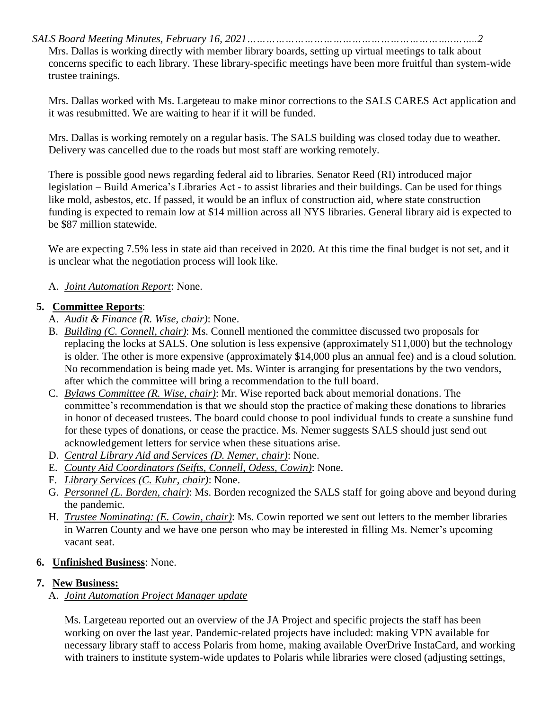*SALS Board Meeting Minutes, February 16, 2021………………………………………………………..……..2*

Mrs. Dallas is working directly with member library boards, setting up virtual meetings to talk about concerns specific to each library. These library-specific meetings have been more fruitful than system-wide trustee trainings.

Mrs. Dallas worked with Ms. Largeteau to make minor corrections to the SALS CARES Act application and it was resubmitted. We are waiting to hear if it will be funded.

Mrs. Dallas is working remotely on a regular basis. The SALS building was closed today due to weather. Delivery was cancelled due to the roads but most staff are working remotely.

There is possible good news regarding federal aid to libraries. Senator Reed (RI) introduced major legislation – Build America's Libraries Act - to assist libraries and their buildings. Can be used for things like mold, asbestos, etc. If passed, it would be an influx of construction aid, where state construction funding is expected to remain low at \$14 million across all NYS libraries. General library aid is expected to be \$87 million statewide.

We are expecting 7.5% less in state aid than received in 2020. At this time the final budget is not set, and it is unclear what the negotiation process will look like.

# A. *Joint Automation Report*: None.

# **5. Committee Reports**:

- A. *Audit & Finance (R. Wise, chair)*: None.
- B. *Building (C. Connell, chair)*: Ms. Connell mentioned the committee discussed two proposals for replacing the locks at SALS. One solution is less expensive (approximately \$11,000) but the technology is older. The other is more expensive (approximately \$14,000 plus an annual fee) and is a cloud solution. No recommendation is being made yet. Ms. Winter is arranging for presentations by the two vendors, after which the committee will bring a recommendation to the full board.
- C. *Bylaws Committee (R. Wise, chair)*: Mr. Wise reported back about memorial donations. The committee's recommendation is that we should stop the practice of making these donations to libraries in honor of deceased trustees. The board could choose to pool individual funds to create a sunshine fund for these types of donations, or cease the practice. Ms. Nemer suggests SALS should just send out acknowledgement letters for service when these situations arise.
- D. *Central Library Aid and Services (D. Nemer, chair)*: None.
- E. *County Aid Coordinators (Seifts, Connell, Odess, Cowin)*: None.
- F. *Library Services (C. Kuhr, chair)*: None.
- G. *Personnel (L. Borden, chair)*: Ms. Borden recognized the SALS staff for going above and beyond during the pandemic.
- H. *Trustee Nominating: (E. Cowin, chair)*: Ms. Cowin reported we sent out letters to the member libraries in Warren County and we have one person who may be interested in filling Ms. Nemer's upcoming vacant seat.

# **6. Unfinished Business**: None.

#### **7. New Business:**

# A. *Joint Automation Project Manager update*

Ms. Largeteau reported out an overview of the JA Project and specific projects the staff has been working on over the last year. Pandemic-related projects have included: making VPN available for necessary library staff to access Polaris from home, making available OverDrive InstaCard, and working with trainers to institute system-wide updates to Polaris while libraries were closed (adjusting settings,